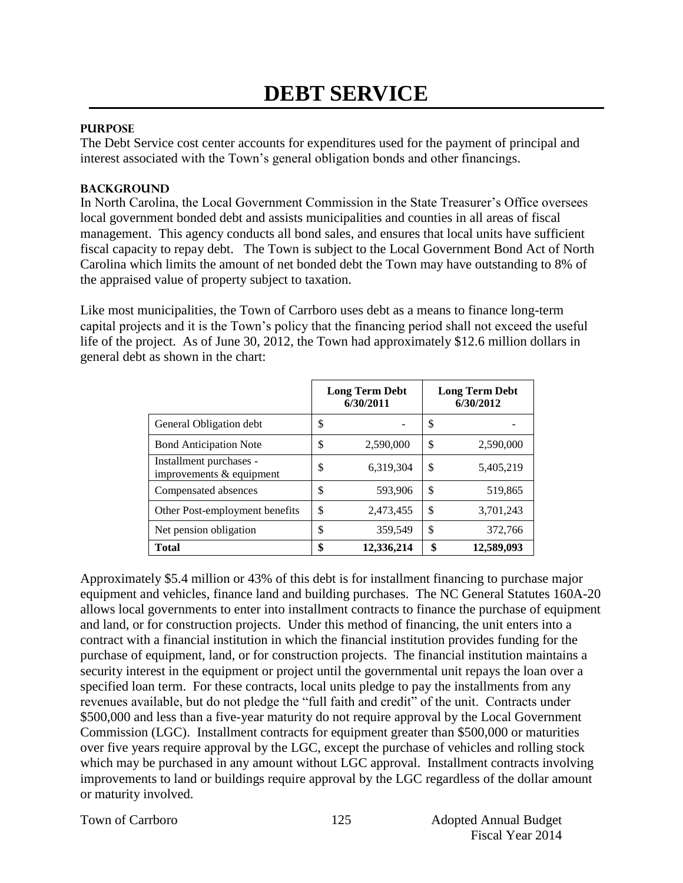### **PURPOSE**

The Debt Service cost center accounts for expenditures used for the payment of principal and interest associated with the Town's general obligation bonds and other financings.

### **BACKGROUND**

In North Carolina, the Local Government Commission in the State Treasurer's Office oversees local government bonded debt and assists municipalities and counties in all areas of fiscal management. This agency conducts all bond sales, and ensures that local units have sufficient fiscal capacity to repay debt. The Town is subject to the Local Government Bond Act of North Carolina which limits the amount of net bonded debt the Town may have outstanding to 8% of the appraised value of property subject to taxation.

Like most municipalities, the Town of Carrboro uses debt as a means to finance long-term capital projects and it is the Town's policy that the financing period shall not exceed the useful life of the project. As of June 30, 2012, the Town had approximately \$12.6 million dollars in general debt as shown in the chart:

|                                                     | <b>Long Term Debt</b><br>6/30/2011 | <b>Long Term Debt</b><br>6/30/2012 |
|-----------------------------------------------------|------------------------------------|------------------------------------|
| General Obligation debt                             | \$                                 | \$                                 |
| <b>Bond Anticipation Note</b>                       | \$<br>2,590,000                    | \$<br>2,590,000                    |
| Installment purchases -<br>improvements & equipment | \$<br>6,319,304                    | \$<br>5,405,219                    |
| Compensated absences                                | \$<br>593,906                      | \$<br>519,865                      |
| Other Post-employment benefits                      | \$<br>2,473,455                    | \$<br>3.701.243                    |
| Net pension obligation                              | \$<br>359,549                      | \$<br>372,766                      |
| <b>Total</b>                                        | \$<br>12,336,214                   | \$<br>12,589,093                   |

Approximately \$5.4 million or 43% of this debt is for installment financing to purchase major equipment and vehicles, finance land and building purchases. The NC General Statutes 160A-20 allows local governments to enter into installment contracts to finance the purchase of equipment and land, or for construction projects. Under this method of financing, the unit enters into a contract with a financial institution in which the financial institution provides funding for the purchase of equipment, land, or for construction projects. The financial institution maintains a security interest in the equipment or project until the governmental unit repays the loan over a specified loan term. For these contracts, local units pledge to pay the installments from any revenues available, but do not pledge the "full faith and credit" of the unit. Contracts under \$500,000 and less than a five-year maturity do not require approval by the Local Government Commission (LGC). Installment contracts for equipment greater than \$500,000 or maturities over five years require approval by the LGC, except the purchase of vehicles and rolling stock which may be purchased in any amount without LGC approval. Installment contracts involving improvements to land or buildings require approval by the LGC regardless of the dollar amount or maturity involved.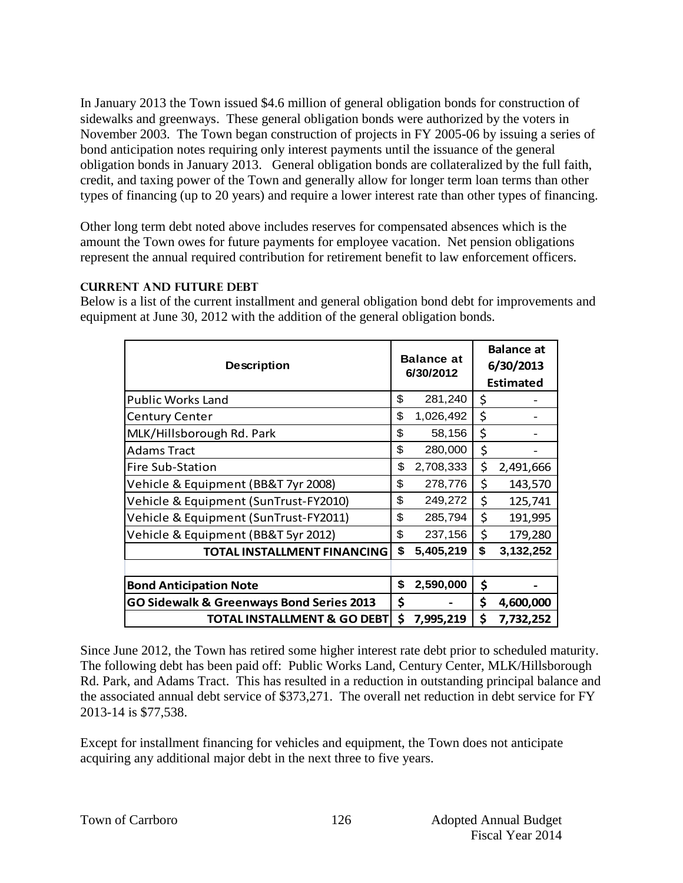In January 2013 the Town issued \$4.6 million of general obligation bonds for construction of sidewalks and greenways. These general obligation bonds were authorized by the voters in November 2003. The Town began construction of projects in FY 2005-06 by issuing a series of bond anticipation notes requiring only interest payments until the issuance of the general obligation bonds in January 2013. General obligation bonds are collateralized by the full faith, credit, and taxing power of the Town and generally allow for longer term loan terms than other types of financing (up to 20 years) and require a lower interest rate than other types of financing.

Other long term debt noted above includes reserves for compensated absences which is the amount the Town owes for future payments for employee vacation. Net pension obligations represent the annual required contribution for retirement benefit to law enforcement officers.

### **Current AND FUTURE Debt**

Below is a list of the current installment and general obligation bond debt for improvements and equipment at June 30, 2012 with the addition of the general obligation bonds.

| <b>Description</b>                       |    | <b>Balance at</b><br>6/30/2012 | <b>Balance at</b><br>6/30/2013<br><b>Estimated</b> |           |  |  |
|------------------------------------------|----|--------------------------------|----------------------------------------------------|-----------|--|--|
| <b>Public Works Land</b>                 | \$ | 281,240                        | \$                                                 |           |  |  |
| <b>Century Center</b>                    | \$ | 1,026,492                      | \$                                                 |           |  |  |
| MLK/Hillsborough Rd. Park                | \$ | 58,156                         | \$                                                 |           |  |  |
| <b>Adams Tract</b>                       | \$ | 280,000                        | \$                                                 |           |  |  |
| Fire Sub-Station                         | \$ | 2,708,333                      | \$                                                 | 2,491,666 |  |  |
| Vehicle & Equipment (BB&T 7yr 2008)      | \$ | 278,776                        | \$                                                 | 143,570   |  |  |
| Vehicle & Equipment (SunTrust-FY2010)    | \$ | 249,272                        | \$                                                 | 125,741   |  |  |
| Vehicle & Equipment (SunTrust-FY2011)    | \$ | 285,794                        | \$                                                 | 191,995   |  |  |
| Vehicle & Equipment (BB&T 5yr 2012)      | \$ | 237,156                        | \$                                                 | 179,280   |  |  |
| TOTAL INSTALLMENT FINANCING              |    | 5,405,219                      | \$                                                 | 3,132,252 |  |  |
|                                          |    |                                |                                                    |           |  |  |
| <b>Bond Anticipation Note</b>            |    | 2,590,000                      | \$                                                 |           |  |  |
| GO Sidewalk & Greenways Bond Series 2013 | \$ |                                | \$                                                 | 4,600,000 |  |  |
| TOTAL INSTALLMENT & GO DEBTI             | \$ | 7,995,219                      | \$                                                 | 7,732,252 |  |  |

Since June 2012, the Town has retired some higher interest rate debt prior to scheduled maturity. The following debt has been paid off: Public Works Land, Century Center, MLK/Hillsborough Rd. Park, and Adams Tract. This has resulted in a reduction in outstanding principal balance and the associated annual debt service of \$373,271. The overall net reduction in debt service for FY 2013-14 is \$77,538.

Except for installment financing for vehicles and equipment, the Town does not anticipate acquiring any additional major debt in the next three to five years.